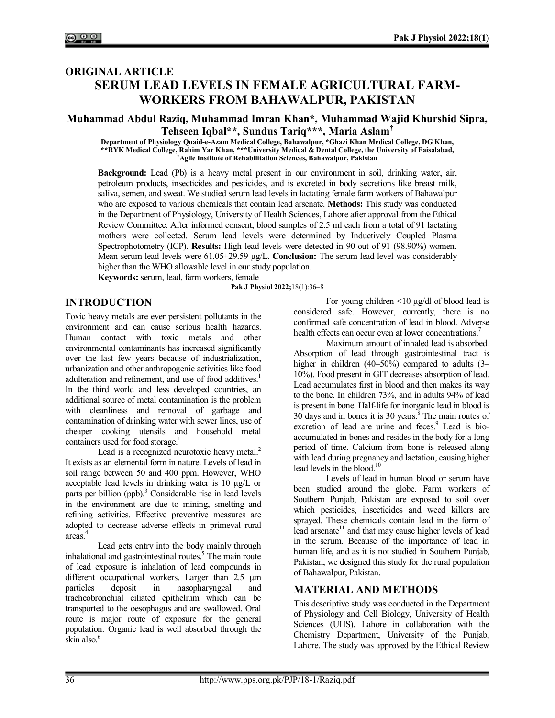# **ORIGINAL ARTICLE SERUM LEAD LEVELS IN FEMALE AGRICULTURAL FARM-WORKERS FROM BAHAWALPUR, PAKISTAN**

## **Muhammad Abdul Raziq, Muhammad Imran Khan\*, Muhammad Wajid Khurshid Sipra, Tehseen Iqbal\*\*, Sundus Tariq\*\*\*, Maria Aslam†**

**Department of Physiology Quaid-e-Azam Medical College, Bahawalpur, \*Ghazi Khan Medical College, DG Khan, \*\*RYK Medical College, Rahim Yar Khan, \*\*\*University Medical & Dental College, the University of Faisalabad, †Agile Institute of Rehabilitation Sciences, Bahawalpur, Pakistan**

**Background:** Lead (Pb) is a heavy metal present in our environment in soil, drinking water, air, petroleum products, insecticides and pesticides, and is excreted in body secretions like breast milk, saliva, semen, and sweat. We studied serum lead levels in lactating female farm workers of Bahawalpur who are exposed to various chemicals that contain lead arsenate. **Methods:** This study was conducted in the Department of Physiology, University of Health Sciences, Lahore after approval from the Ethical Review Committee. After informed consent, blood samples of 2.5 ml each from a total of 91 lactating mothers were collected. Serum lead levels were determined by Inductively Coupled Plasma Spectrophotometry (ICP). **Results:** High lead levels were detected in 90 out of 91 (98.90%) women. Mean serum lead levels were 61.05±29.59 µg/L. **Conclusion:** The serum lead level was considerably higher than the WHO allowable level in our study population.

**Keywords:** serum, lead, farm workers, female

**Pak J Physiol 2022;**18(1):36‒8

## **INTRODUCTION**

Toxic heavy metals are ever persistent pollutants in the environment and can cause serious health hazards. Human contact with toxic metals and other environmental contaminants has increased significantly over the last few years because of industrialization, urbanization and other anthropogenic activities like food adulteration and refinement, and use of food additives.<sup>1</sup> In the third world and less developed countries, an additional source of metal contamination is the problem with cleanliness and removal of garbage and contamination of drinking water with sewer lines, use of cheaper cooking utensils and household metal containers used for food storage.<sup>1</sup>

Lead is a recognized neurotoxic heavy metal. $^{2}$ It exists as an elemental form in nature. Levels of lead in soil range between 50 and 400 ppm. However, WHO acceptable lead levels in drinking water is 10 µg/L or parts per billion (ppb).<sup>3</sup> Considerable rise in lead levels in the environment are due to mining, smelting and refining activities. Effective preventive measures are adopted to decrease adverse effects in primeval rural areas.<sup>4</sup>

Lead gets entry into the body mainly through inhalational and gastrointestinal routes.<sup>5</sup> The main route of lead exposure is inhalation of lead compounds in different occupational workers. Larger than 2.5 μm particles deposit in nasopharyngeal and tracheobronchial ciliated epithelium which can be transported to the oesophagus and are swallowed. Oral route is major route of exposure for the general population. Organic lead is well absorbed through the skin also.<sup>6</sup>

For young children <10 μg/dl of blood lead is considered safe. However, currently, there is no confirmed safe concentration of lead in blood. Adverse health effects can occur even at lower concentrations.<sup>7</sup>

Maximum amount of inhaled lead is absorbed. Absorption of lead through gastrointestinal tract is higher in children (40–50%) compared to adults (3– 10%). Food present in GIT decreases absorption of lead. Lead accumulates first in blood and then makes its way to the bone. In children 73%, and in adults 94% of lead is present in bone. Half-life for inorganic lead in blood is  $30$  days and in bones it is  $30$  years.<sup>8</sup> The main routes of excretion of lead are urine and feces.<sup>9</sup> Lead is bioaccumulated in bones and resides in the body for a long period of time. Calcium from bone is released along with lead during pregnancy and lactation, causing higher lead levels in the blood.<sup>10</sup>

Levels of lead in human blood or serum have been studied around the globe. Farm workers of Southern Punjab, Pakistan are exposed to soil over which pesticides, insecticides and weed killers are sprayed. These chemicals contain lead in the form of lead arsenate<sup>11</sup> and that may cause higher levels of lead in the serum. Because of the importance of lead in human life, and as it is not studied in Southern Punjab, Pakistan, we designed this study for the rural population of Bahawalpur, Pakistan.

## **MATERIAL AND METHODS**

This descriptive study was conducted in the Department of Physiology and Cell Biology, University of Health Sciences (UHS), Lahore in collaboration with the Chemistry Department, University of the Punjab, Lahore. The study was approved by the Ethical Review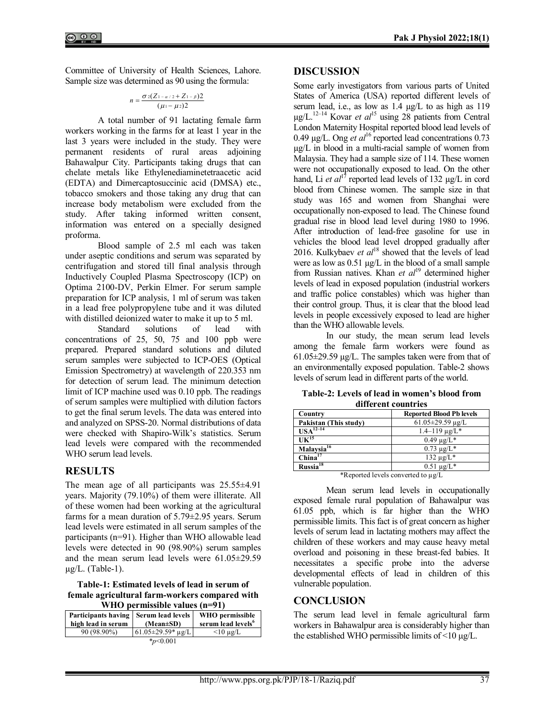Committee of University of Health Sciences, Lahore. Sample size was determined as 90 using the formula:

$$
n = \frac{\sigma_2 (Z_{1-\alpha/2} + Z_{1-\beta})2}{(\mu_1 - \mu_2)2}
$$

A total number of 91 lactating female farm workers working in the farms for at least 1 year in the last 3 years were included in the study. They were permanent residents of rural areas adjoining Bahawalpur City. Participants taking drugs that can chelate metals like Ethylenediaminetetraacetic acid (EDTA) and Dimercaptosuccinic acid (DMSA) etc., tobacco smokers and those taking any drug that can increase body metabolism were excluded from the study. After taking informed written consent, information was entered on a specially designed proforma.

Blood sample of 2.5 ml each was taken under aseptic conditions and serum was separated by centrifugation and stored till final analysis through Inductively Coupled Plasma Spectroscopy (ICP) on Optima 2100-DV, Perkin Elmer. For serum sample preparation for ICP analysis, 1 ml of serum was taken in a lead free polypropylene tube and it was diluted with distilled deionized water to make it up to 5 ml.<br>Standard solutions of lead wi

Standard solutions of lead with concentrations of 25, 50, 75 and 100 ppb were prepared. Prepared standard solutions and diluted serum samples were subjected to ICP-OES (Optical Emission Spectrometry) at wavelength of 220.353 nm for detection of serum lead. The minimum detection limit of ICP machine used was 0.10 ppb. The readings of serum samples were multiplied with dilution factors to get the final serum levels. The data was entered into and analyzed on SPSS-20. Normal distributions of data were checked with Shapiro-Wilk's statistics. Serum lead levels were compared with the recommended WHO serum lead levels.

## **RESULTS**

The mean age of all participants was  $25.55\pm4.91$ years. Majority (79.10%) of them were illiterate. All of these women had been working at the agricultural farms for a mean duration of 5.79±2.95 years. Serum lead levels were estimated in all serum samples of the participants (n=91). Higher than WHO allowable lead levels were detected in 90 (98.90%) serum samples and the mean serum lead levels were 61.05±29.59  $\mu$ g/L. (Table-1).

**Table-1: Estimated levels of lead in serum of female agricultural farm-workers compared with** 

| WHO permissible values $(n=91)$ |                          |                                |  |
|---------------------------------|--------------------------|--------------------------------|--|
| Participants having             | Serum lead levels        | WHO permissible                |  |
| high lead in serum              | $(Mean \pm SD)$          | serum lead levels <sup>6</sup> |  |
| 90 (98.90%)                     | $61.05 \pm 29.59$ * µg/L | $<$ 10 µg/L                    |  |
| $*_{p<0.001}$                   |                          |                                |  |

## **DISCUSSION**

Some early investigators from various parts of United States of America (USA) reported different levels of serum lead, i.e., as low as 1.4  $\mu$ g/L to as high as 119 µg/L.<sup>12</sup>‒14 Kovar *et al*<sup>15</sup> using 28 patients from Central London Maternity Hospital reported blood lead levels of 0.49 µg/L. Ong *et al*<sup>16</sup> reported lead concentrations 0.73  $\mu$ g/L in blood in a multi-racial sample of women from Malaysia. They had a sample size of 114. These women were not occupationally exposed to lead. On the other hand, Li *et al*<sup>17</sup> reported lead levels of 132 µg/L in cord blood from Chinese women. The sample size in that study was 165 and women from Shanghai were occupationally non-exposed to lead. The Chinese found gradual rise in blood lead level during 1980 to 1996. After introduction of lead-free gasoline for use in vehicles the blood lead level dropped gradually after 2016. Kulkybaev *et al*<sup>18</sup> showed that the levels of lead were as low as  $0.51 \mu g/L$  in the blood of a small sample from Russian natives. Khan *et al*<sup>19</sup> determined higher levels of lead in exposed population (industrial workers and traffic police constables) which was higher than their control group. Thus, it is clear that the blood lead levels in people excessively exposed to lead are higher than the WHO allowable levels.

In our study, the mean serum lead levels among the female farm workers were found as  $61.05\pm29.59$  µg/L. The samples taken were from that of an environmentally exposed population. Table-2 shows levels of serum lead in different parts of the world.

| different countries                        |                                 |  |  |
|--------------------------------------------|---------------------------------|--|--|
| Country                                    | <b>Reported Blood Pb levels</b> |  |  |
| Pakistan (This study)                      | $61.05 \pm 29.59 \mu g/L$       |  |  |
| $USA^{12-14}$                              | $1.4 - 119 \mu g/L^*$           |  |  |
| $UK^{15}$                                  | $0.49 \mu g/L^*$                |  |  |
| Malaysia <sup>16</sup>                     | $0.73 \ \mu g/L^*$              |  |  |
| China <sup>17</sup>                        | $132 \mu g/L^*$                 |  |  |
| Russia <sup>18</sup>                       | $0.51 \mu g/L^*$                |  |  |
| $\star$ n $\star$ 11 1 $\star$ 1 $\star$ 1 |                                 |  |  |

**Table-2: Levels of lead in women's blood from different countries**

\*Reported levels converted to µg/L

Mean serum lead levels in occupationally exposed female rural population of Bahawalpur was 61.05 ppb, which is far higher than the WHO permissible limits. This fact is of great concern as higher levels of serum lead in lactating mothers may affect the children of these workers and may cause heavy metal overload and poisoning in these breast-fed babies. It necessitates a specific probe into the adverse developmental effects of lead in children of this vulnerable population.

## **CONCLUSION**

The serum lead level in female agricultural farm workers in Bahawalpur area is considerably higher than the established WHO permissible limits of  $\leq 10 \mu g/L$ .